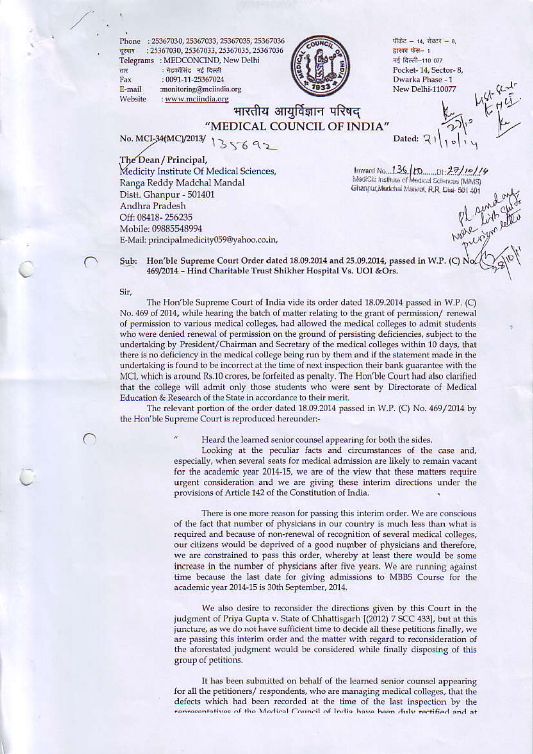Phone: 25367030, 25367033, 25367035, 25367036 वूरुमाथ: 25367030, 25367033, 25367035, 25367036 Telegrams: MEDCONCIND, New Delhi

: मेडकॉसिंड नई दिल्ली Fax : 0091-11-25367024 E-mail :monitoring@mciindia.org Website : www.mciindia.org



पॉकेट - 14, सेक्टर - 8, द्वारका फेस- 1 नई दिल्ली-110 077 Pocket-14, Sector-8, Dwarka Phase - 1 New Delhi-110077

भारतीय आयुर्विज्ञान परिषद् "MEDICAL COUNCIL OF INDIA"

No. MCI-34(MC)/2013/ 135692

The Dean / Principal,

Medicity Institute Of Medical Sciences, Ranga Reddy Madchal Mandal Distt. Ghanpur - 501401 Andhra Pradesh Off: 08418-256235 Mobile: 09885548994 E-Mail: principalmedicity059@yahoo.co.in,

Inward No...136 (FO.......DI: 27/10/19) Ghanpur, Medichal Manual, R.R. Dist- 501-501

Dated:  $\sqrt{2}$ 

Hon'ble Supreme Court Order dated 18.09.2014 and 25.09.2014, passed in W.P. (C) Sub: 469/2014 - Hind Charitable Trust Shikher Hospital Vs. UOI &Ors.

Sir.

रहार

The Hon'ble Supreme Court of India vide its order dated 18.09.2014 passed in W.P. (C) No. 469 of 2014, while hearing the batch of matter relating to the grant of permission/renewal of permission to various medical colleges, had allowed the medical colleges to admit students who were denied renewal of permission on the ground of persisting deficiencies, subject to the undertaking by President/Chairman and Secretary of the medical colleges within 10 days, that there is no deficiency in the medical college being run by them and if the statement made in the undertaking is found to be incorrect at the time of next inspection their bank guarantee with the MCI, which is around Rs.10 crores, be forfeited as penalty. The Hon'ble Court had also clarified that the college will admit only those students who were sent by Directorate of Medical Education & Research of the State in accordance to their merit.

The relevant portion of the order dated 18.09.2014 passed in W.P. (C) No. 469/2014 by the Hon'ble Supreme Court is reproduced hereunder:-

Heard the learned senior counsel appearing for both the sides.

Looking at the peculiar facts and circumstances of the case and, especially, when several seats for medical admission are likely to remain vacant for the academic year 2014-15, we are of the view that these matters require urgent consideration and we are giving these interim directions under the provisions of Article 142 of the Constitution of India.

There is one more reason for passing this interim order. We are conscious of the fact that number of physicians in our country is much less than what is required and because of non-renewal of recognition of several medical colleges, our citizens would be deprived of a good number of physicians and therefore, we are constrained to pass this order, whereby at least there would be some increase in the number of physicians after five years. We are running against time because the last date for giving admissions to MBBS Course for the academic year 2014-15 is 30th September, 2014.

We also desire to reconsider the directions given by this Court in the judgment of Priya Gupta v. State of Chhattisgarh [(2012) 7 SCC 433], but at this juncture, as we do not have sufficient time to decide all these petitions finally, we are passing this interim order and the matter with regard to reconsideration of the aforestated judgment would be considered while finally disposing of this group of petitions.

It has been submitted on behalf of the learned senior counsel appearing for all the petitioners/respondents, who are managing medical colleges, that the defects which had been recorded at the time of the last inspection by the renvecentatives of the Medical Council of India have been duly rectified and at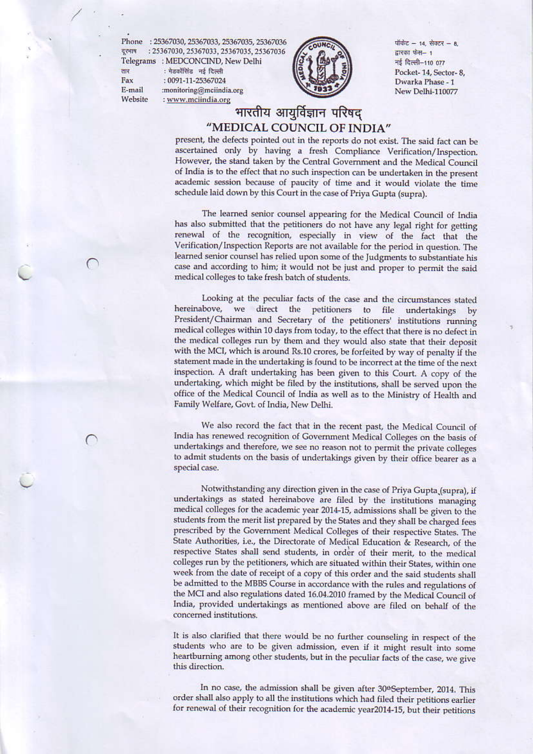Phone: 25367030, 25367033, 25367035, 25367036 दूरभाष : 25367030, 25367033, 25367035, 25367036 Telegrams : MEDCONCIND, New Delhi

तार Fax E-mail Website

: मेडकॉसिंड नई दिल्ली : 0091-11-25367024 :monitoring@mciindia.org : www.mciindia.org



पॉकेट - 14, सेक्टर - 8, द्वारका फेस- 1 नई दिल्ली-110 077 Pocket-14, Sector-8, Dwarka Phase - 1 New Delhi-110077

## भारतीय आयूर्विज्ञान परिषद "MEDICAL COUNCIL OF INDIA"

present, the defects pointed out in the reports do not exist. The said fact can be ascertained only by having a fresh Compliance Verification/Inspection. However, the stand taken by the Central Government and the Medical Council of India is to the effect that no such inspection can be undertaken in the present academic session because of paucity of time and it would violate the time schedule laid down by this Court in the case of Priya Gupta (supra).

The learned senior counsel appearing for the Medical Council of India has also submitted that the petitioners do not have any legal right for getting renewal of the recognition, especially in view of the fact that the Verification/Inspection Reports are not available for the period in question. The learned senior counsel has relied upon some of the Judgments to substantiate his case and according to him; it would not be just and proper to permit the said medical colleges to take fresh batch of students.

Looking at the peculiar facts of the case and the circumstances stated hereinabove, we direct the petitioners to file undertakings by President/Chairman and Secretary of the petitioners' institutions running medical colleges within 10 days from today, to the effect that there is no defect in the medical colleges run by them and they would also state that their deposit with the MCI, which is around Rs.10 crores, be forfeited by way of penalty if the statement made in the undertaking is found to be incorrect at the time of the next inspection. A draft undertaking has been given to this Court. A copy of the undertaking, which might be filed by the institutions, shall be served upon the office of the Medical Council of India as well as to the Ministry of Health and Family Welfare, Govt. of India, New Delhi.

We also record the fact that in the recent past, the Medical Council of India has renewed recognition of Government Medical Colleges on the basis of undertakings and therefore, we see no reason not to permit the private colleges to admit students on the basis of undertakings given by their office bearer as a special case.

Notwithstanding any direction given in the case of Priya Gupta (supra), if undertakings as stated hereinabove are filed by the institutions managing medical colleges for the academic year 2014-15, admissions shall be given to the students from the merit list prepared by the States and they shall be charged fees prescribed by the Government Medical Colleges of their respective States. The State Authorities, i.e., the Directorate of Medical Education & Research, of the respective States shall send students, in order of their merit, to the medical colleges run by the petitioners, which are situated within their States, within one week from the date of receipt of a copy of this order and the said students shall be admitted to the MBBS Course in accordance with the rules and regulations of the MCI and also regulations dated 16.04.2010 framed by the Medical Council of India, provided undertakings as mentioned above are filed on behalf of the concerned institutions.

It is also clarified that there would be no further counseling in respect of the students who are to be given admission, even if it might result into some heartburning among other students, but in the peculiar facts of the case, we give this direction.

In no case, the admission shall be given after 30<sup>th</sup>September, 2014. This order shall also apply to all the institutions which had filed their petitions earlier for renewal of their recognition for the academic year2014-15, but their petitions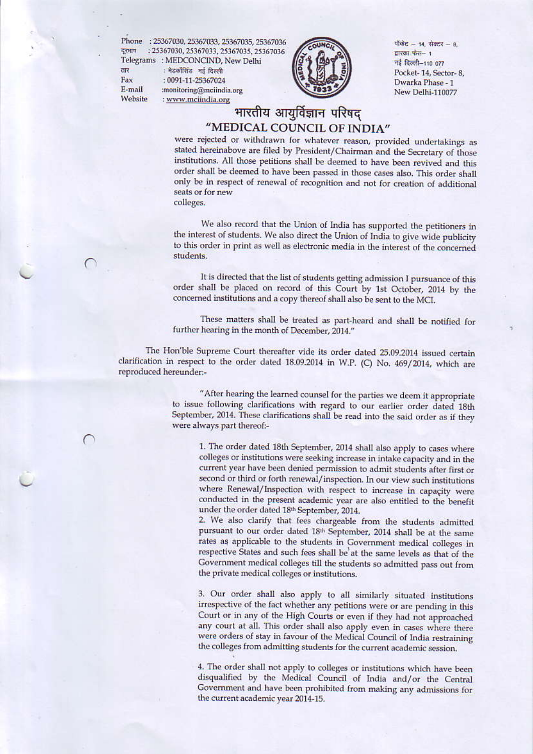Phone : 25367030, 25367033, 25367035, 25367036 дени : 25367030, 25367033, 25367035, 25367036 Telegrams : MEDCONCIND, New Delhi

तार Fax E-mail Website

: मेडकॉसिंड नई दिल्ली : 0091-11-25367024 :monitoring@mciindia.org : www.mciindia.org



पॉकेट - 14, सेक्टर - 8, द्वारका फेस- १ नई दिल्ली-110 077 Pocket-14, Sector-8, Dwarka Phase - 1 New Delhi-110077

## भारतीय आयुर्विज्ञान परिषद "MEDICAL COUNCIL OF INDIA"

were rejected or withdrawn for whatever reason, provided undertakings as stated hereinabove are filed by President/Chairman and the Secretary of those institutions. All those petitions shall be deemed to have been revived and this order shall be deemed to have been passed in those cases also. This order shall only be in respect of renewal of recognition and not for creation of additional seats or for new colleges.

We also record that the Union of India has supported the petitioners in the interest of students. We also direct the Union of India to give wide publicity to this order in print as well as electronic media in the interest of the concerned students.

It is directed that the list of students getting admission I pursuance of this order shall be placed on record of this Court by 1st October, 2014 by the concerned institutions and a copy thereof shall also be sent to the MCI.

These matters shall be treated as part-heard and shall be notified for further hearing in the month of December, 2014."

The Hon'ble Supreme Court thereafter vide its order dated 25.09.2014 issued certain clarification in respect to the order dated 18.09.2014 in W.P. (C) No. 469/2014, which are reproduced hereunder:-

> "After hearing the learned counsel for the parties we deem it appropriate to issue following clarifications with regard to our earlier order dated 18th September, 2014. These clarifications shall be read into the said order as if they were always part thereof:-

1. The order dated 18th September, 2014 shall also apply to cases where colleges or institutions were seeking increase in intake capacity and in the current year have been denied permission to admit students after first or second or third or forth renewal/inspection. In our view such institutions where Renewal/Inspection with respect to increase in capacity were conducted in the present academic year are also entitled to the benefit under the order dated 18th September, 2014.

2. We also clarify that fees chargeable from the students admitted pursuant to our order dated 18<sup>th</sup> September, 2014 shall be at the same rates as applicable to the students in Government medical colleges in respective States and such fees shall be at the same levels as that of the Government medical colleges till the students so admitted pass out from the private medical colleges or institutions.

3. Our order shall also apply to all similarly situated institutions irrespective of the fact whether any petitions were or are pending in this Court or in any of the High Courts or even if they had not approached any court at all. This order shall also apply even in cases where there were orders of stay in favour of the Medical Council of India restraining the colleges from admitting students for the current academic session.

4. The order shall not apply to colleges or institutions which have been disqualified by the Medical Council of India and/or the Central Government and have been prohibited from making any admissions for the current academic year 2014-15.